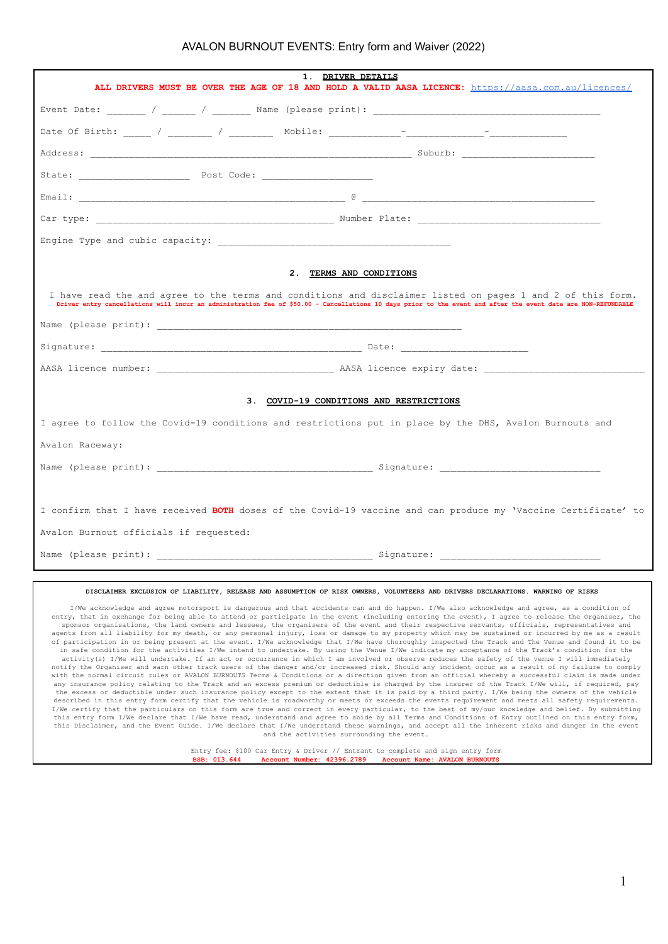## AVALON BURNOUT EVENTS: Entry form and Waiver (2022)

| 1. DRIVER DETAILS<br>ALL DRIVERS MUST BE OVER THE AGE OF 18 AND HOLD A VALID AASA LICENCE: https://aasa.com.au/licences/                                                                                                                                                    |  |
|-----------------------------------------------------------------------------------------------------------------------------------------------------------------------------------------------------------------------------------------------------------------------------|--|
|                                                                                                                                                                                                                                                                             |  |
|                                                                                                                                                                                                                                                                             |  |
|                                                                                                                                                                                                                                                                             |  |
|                                                                                                                                                                                                                                                                             |  |
|                                                                                                                                                                                                                                                                             |  |
|                                                                                                                                                                                                                                                                             |  |
|                                                                                                                                                                                                                                                                             |  |
| 2. TERMS AND CONDITIONS                                                                                                                                                                                                                                                     |  |
| I have read the and agree to the terms and conditions and disclaimer listed on pages 1 and 2 of this form.<br>Driver entry cancellations will incur an administration fee of \$50.00 - Cancellations 10 days prior to the event and after the event date are NON-REFUNDABLE |  |
|                                                                                                                                                                                                                                                                             |  |
|                                                                                                                                                                                                                                                                             |  |
|                                                                                                                                                                                                                                                                             |  |
| 3. COVID-19 CONDITIONS AND RESTRICTIONS                                                                                                                                                                                                                                     |  |
| I agree to follow the Covid-19 conditions and restrictions put in place by the DHS, Avalon Burnouts and                                                                                                                                                                     |  |
| Avalon Raceway:                                                                                                                                                                                                                                                             |  |
|                                                                                                                                                                                                                                                                             |  |
|                                                                                                                                                                                                                                                                             |  |
| I confirm that I have received BOTH doses of the Covid-19 vaccine and can produce my 'Vaccine Certificate' to                                                                                                                                                               |  |
| Avalon Burnout officials if requested:                                                                                                                                                                                                                                      |  |
|                                                                                                                                                                                                                                                                             |  |

## **DISCLAIMER EXCLUSION OF LIABILITY, RELEASE AND ASSUMPTION OF RISK OWNERS, VOLUNTEERS AND DRIVERS DECLARATIONS. WARNING OF RISKS**

I/We acknowledge and agree motorsport is dangerous and that accidents can and do happen. I/We also acknowledge and agree, as a condition of entry, that in exchange for being able to attend or participate in the event (including entering the event), I agree to release the Organiser, the sponsor organisations, the land owners and lessees, the organisers of the event and their respective servants, officials, representatives and<br>agents from all liability for my death, or any personal injury, loss or damage t of participation in or being present at the event. I/We acknowledge that I/We have thoroughly inspected the Track and The Venue and found it to be in safe condition for the activities I/We intend to undertake. By using the Venue I/We indicate my acceptance of the Track's condition for the<br>activity(s) I/We will undertake. If an act or occurrence in which I am involved notify the Organiser and warn other track users of the danger and/or increased risk. Should any incident occur as a result of my failure to comply with the normal circuit rules or AVALON BURNOUTS Terms & Conditions or a direction given from an official whereby a successful claim is made under<br>any insurance policy relating to the Track and an excess premium or deducti the excess or deductible under such insurance policy except to the extent that it is paid by a third party. I/We being the owners of the vehicle described in this entry form certify that the vehicle is roadworthy or meets or exceeds the events requirement and meets all safety requirements.<br>I/We certify that the particulars on this form are true and correct in every this entry form I/We declare that I/We have read, understand and agree to abide by all Terms and Conditions of Entry outlined on this entry form, this Disclaimer, and the Event Guide. I/We declare that I/We understand these warnings, and accept all the inherent risks and danger in the event and the activities surrounding the event.

> Entry fee: \$100 Car Entry & Driver // Entrant to complete and sign entry form **BSB: 013.644 Account Number: 42396.2789 Account Name: AVALON BURNOUTS**